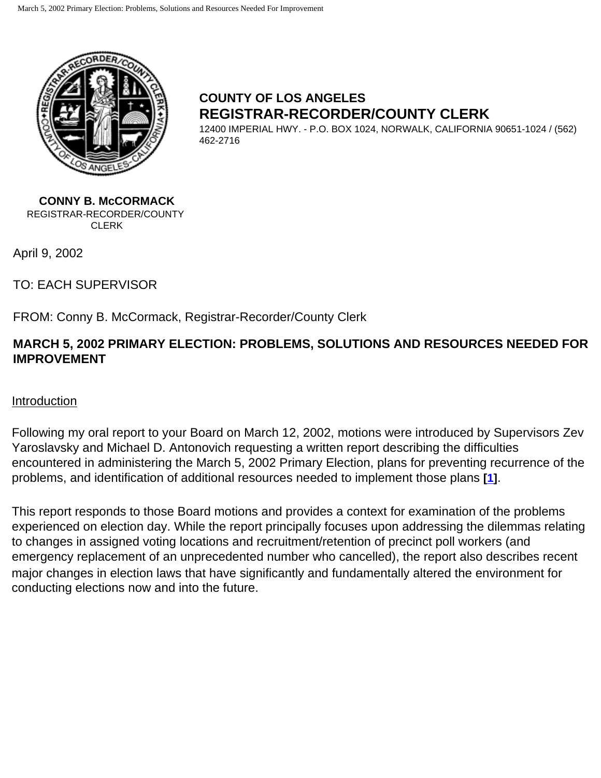<span id="page-0-0"></span>

# **COUNTY OF LOS ANGELES REGISTRAR-RECORDER/COUNTY CLERK**

12400 IMPERIAL HWY. - P.O. BOX 1024, NORWALK, CALIFORNIA 90651-1024 / (562) 462-2716

**CONNY B. McCORMACK** REGISTRAR-RECORDER/COUNTY CLERK

April 9, 2002

TO: EACH SUPERVISOR

FROM: Conny B. McCormack, Registrar-Recorder/County Clerk

# **MARCH 5, 2002 PRIMARY ELECTION: PROBLEMS, SOLUTIONS AND RESOURCES NEEDED FOR IMPROVEMENT**

## Introduction

Following my oral report to your Board on March 12, 2002, motions were introduced by Supervisors Zev Yaroslavsky and Michael D. Antonovich requesting a written report describing the difficulties encountered in administering the March 5, 2002 Primary Election, plans for preventing recurrence of the problems, and identification of additional resources needed to implement those plans **[[1\]](#page-20-0)**.

This report responds to those Board motions and provides a context for examination of the problems experienced on election day. While the report principally focuses upon addressing the dilemmas relating to changes in assigned voting locations and recruitment/retention of precinct poll workers (and emergency replacement of an unprecedented number who cancelled), the report also describes recent major changes in election laws that have significantly and fundamentally altered the environment for conducting elections now and into the future.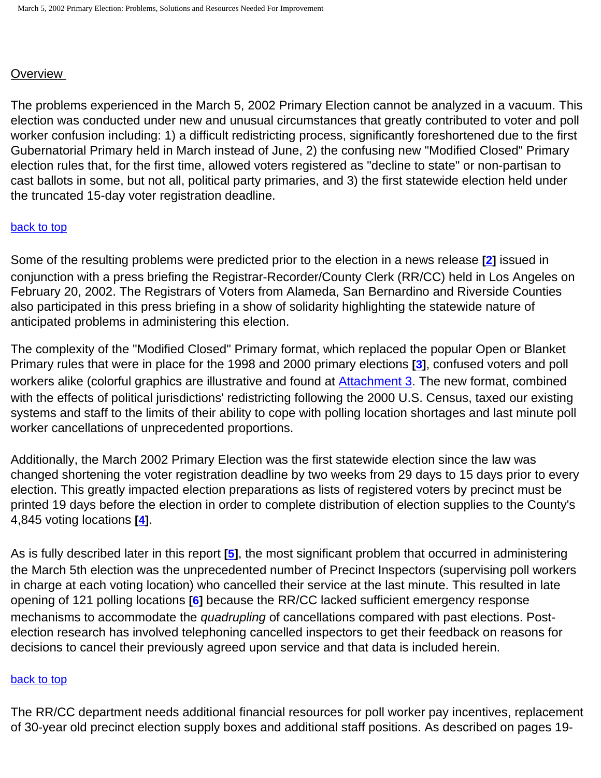## **Overview**

The problems experienced in the March 5, 2002 Primary Election cannot be analyzed in a vacuum. This election was conducted under new and unusual circumstances that greatly contributed to voter and poll worker confusion including: 1) a difficult redistricting process, significantly foreshortened due to the first Gubernatorial Primary held in March instead of June, 2) the confusing new "Modified Closed" Primary election rules that, for the first time, allowed voters registered as "decline to state" or non-partisan to cast ballots in some, but not all, political party primaries, and 3) the first statewide election held under the truncated 15-day voter registration deadline.

#### [back to top](#page-0-0)

Some of the resulting problems were predicted prior to the election in a news release **[\[2\]](#page-20-1)** issued in conjunction with a press briefing the Registrar-Recorder/County Clerk (RR/CC) held in Los Angeles on February 20, 2002. The Registrars of Voters from Alameda, San Bernardino and Riverside Counties also participated in this press briefing in a show of solidarity highlighting the statewide nature of anticipated problems in administering this election.

The complexity of the "Modified Closed" Primary format, which replaced the popular Open or Blanket Primary rules that were in place for the 1998 and 2000 primary elections **[[3](#page-20-2)]**, confused voters and poll workers alike (colorful graphics are illustrative and found at [Attachment 3.](http://www.lavote.net/general/3-5-02PSR/attach3.htm) The new format, combined with the effects of political jurisdictions' redistricting following the 2000 U.S. Census, taxed our existing systems and staff to the limits of their ability to cope with polling location shortages and last minute poll worker cancellations of unprecedented proportions.

Additionally, the March 2002 Primary Election was the first statewide election since the law was changed shortening the voter registration deadline by two weeks from 29 days to 15 days prior to every election. This greatly impacted election preparations as lists of registered voters by precinct must be printed 19 days before the election in order to complete distribution of election supplies to the County's 4,845 voting locations **[\[4\]](#page-20-3)**.

As is fully described later in this report **[\[5\]](#page-20-4)**, the most significant problem that occurred in administering the March 5th election was the unprecedented number of Precinct Inspectors (supervising poll workers in charge at each voting location) who cancelled their service at the last minute. This resulted in late opening of 121 polling locations **[\[6\]](#page-20-5)** because the RR/CC lacked sufficient emergency response mechanisms to accommodate the *quadrupling* of cancellations compared with past elections. Postelection research has involved telephoning cancelled inspectors to get their feedback on reasons for decisions to cancel their previously agreed upon service and that data is included herein.

#### [back to top](#page-0-0)

The RR/CC department needs additional financial resources for poll worker pay incentives, replacement of 30-year old precinct election supply boxes and additional staff positions. As described on pages 19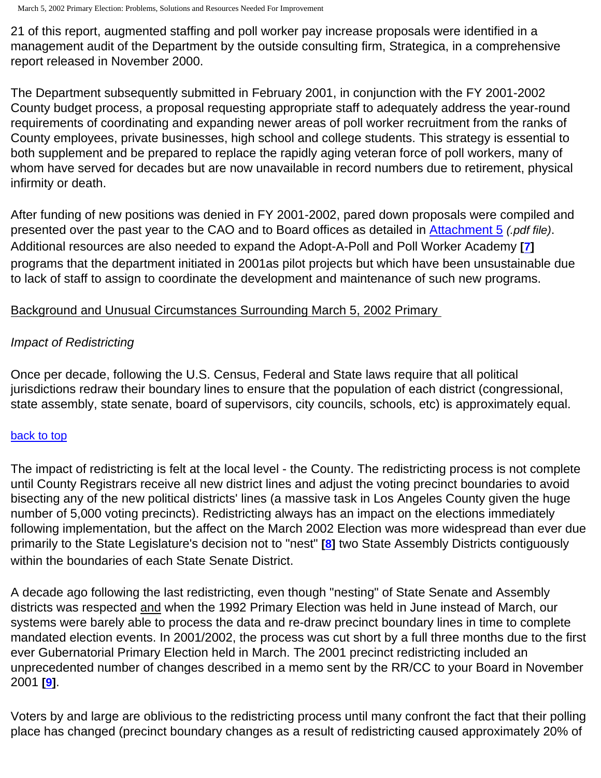21 of this report, augmented staffing and poll worker pay increase proposals were identified in a management audit of the Department by the outside consulting firm, Strategica, in a comprehensive report released in November 2000.

The Department subsequently submitted in February 2001, in conjunction with the FY 2001-2002 County budget process, a proposal requesting appropriate staff to adequately address the year-round requirements of coordinating and expanding newer areas of poll worker recruitment from the ranks of County employees, private businesses, high school and college students. This strategy is essential to both supplement and be prepared to replace the rapidly aging veteran force of poll workers, many of whom have served for decades but are now unavailable in record numbers due to retirement, physical infirmity or death.

After funding of new positions was denied in FY 2001-2002, pared down proposals were compiled and presented over the past year to the CAO and to Board offices as detailed in [Attachment 5](http://www.lavote.net/general/3-5-02PSR/attach5.pdf) *(.pdf file)*. Additional resources are also needed to expand the Adopt-A-Poll and Poll Worker Academy **[\[7\]](#page-20-6)** programs that the department initiated in 2001as pilot projects but which have been unsustainable due to lack of staff to assign to coordinate the development and maintenance of such new programs.

# Background and Unusual Circumstances Surrounding March 5, 2002 Primary

# *Impact of Redistricting*

Once per decade, following the U.S. Census, Federal and State laws require that all political jurisdictions redraw their boundary lines to ensure that the population of each district (congressional, state assembly, state senate, board of supervisors, city councils, schools, etc) is approximately equal.

## [back to top](#page-0-0)

The impact of redistricting is felt at the local level - the County. The redistricting process is not complete until County Registrars receive all new district lines and adjust the voting precinct boundaries to avoid bisecting any of the new political districts' lines (a massive task in Los Angeles County given the huge number of 5,000 voting precincts). Redistricting always has an impact on the elections immediately following implementation, but the affect on the March 2002 Election was more widespread than ever due primarily to the State Legislature's decision not to "nest" **[\[8](#page-20-7)]** two State Assembly Districts contiguously within the boundaries of each State Senate District.

A decade ago following the last redistricting, even though "nesting" of State Senate and Assembly districts was respected and when the 1992 Primary Election was held in June instead of March, our systems were barely able to process the data and re-draw precinct boundary lines in time to complete mandated election events. In 2001/2002, the process was cut short by a full three months due to the first ever Gubernatorial Primary Election held in March. The 2001 precinct redistricting included an unprecedented number of changes described in a memo sent by the RR/CC to your Board in November 2001 **[[9](#page-21-0)]**.

Voters by and large are oblivious to the redistricting process until many confront the fact that their polling place has changed (precinct boundary changes as a result of redistricting caused approximately 20% of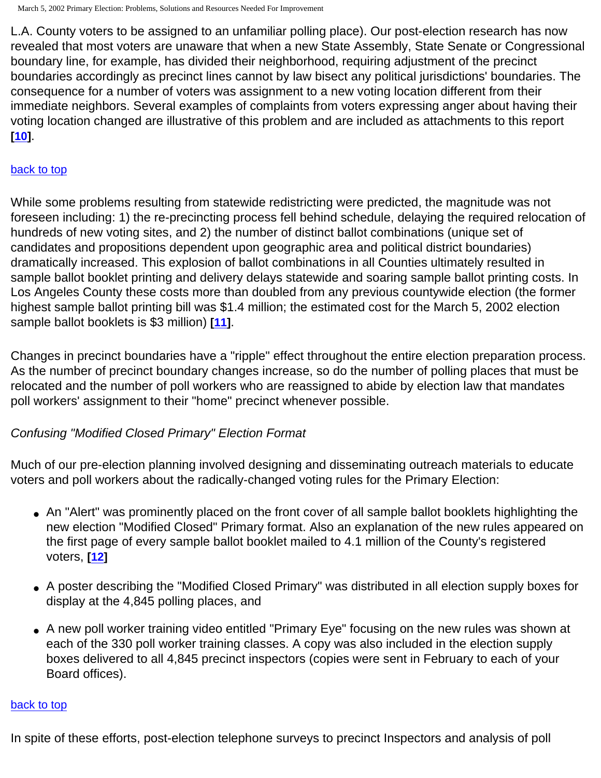L.A. County voters to be assigned to an unfamiliar polling place). Our post-election research has now revealed that most voters are unaware that when a new State Assembly, State Senate or Congressional boundary line, for example, has divided their neighborhood, requiring adjustment of the precinct boundaries accordingly as precinct lines cannot by law bisect any political jurisdictions' boundaries. The consequence for a number of voters was assignment to a new voting location different from their immediate neighbors. Several examples of complaints from voters expressing anger about having their voting location changed are illustrative of this problem and are included as attachments to this report **[[10\]](#page-21-1)**.

#### [back to top](#page-0-0)

While some problems resulting from statewide redistricting were predicted, the magnitude was not foreseen including: 1) the re-precincting process fell behind schedule, delaying the required relocation of hundreds of new voting sites, and 2) the number of distinct ballot combinations (unique set of candidates and propositions dependent upon geographic area and political district boundaries) dramatically increased. This explosion of ballot combinations in all Counties ultimately resulted in sample ballot booklet printing and delivery delays statewide and soaring sample ballot printing costs. In Los Angeles County these costs more than doubled from any previous countywide election (the former highest sample ballot printing bill was \$1.4 million; the estimated cost for the March 5, 2002 election sample ballot booklets is \$3 million) **[\[11](#page-21-2)]**.

Changes in precinct boundaries have a "ripple" effect throughout the entire election preparation process. As the number of precinct boundary changes increase, so do the number of polling places that must be relocated and the number of poll workers who are reassigned to abide by election law that mandates poll workers' assignment to their "home" precinct whenever possible.

# *Confusing "Modified Closed Primary" Election Format*

Much of our pre-election planning involved designing and disseminating outreach materials to educate voters and poll workers about the radically-changed voting rules for the Primary Election:

- An "Alert" was prominently placed on the front cover of all sample ballot booklets highlighting the new election "Modified Closed" Primary format. Also an explanation of the new rules appeared on the first page of every sample ballot booklet mailed to 4.1 million of the County's registered voters, **[[12\]](#page-21-3)**
- A poster describing the "Modified Closed Primary" was distributed in all election supply boxes for display at the 4,845 polling places, and
- A new poll worker training video entitled "Primary Eye" focusing on the new rules was shown at each of the 330 poll worker training classes. A copy was also included in the election supply boxes delivered to all 4,845 precinct inspectors (copies were sent in February to each of your Board offices).

#### [back to top](#page-0-0)

In spite of these efforts, post-election telephone surveys to precinct Inspectors and analysis of poll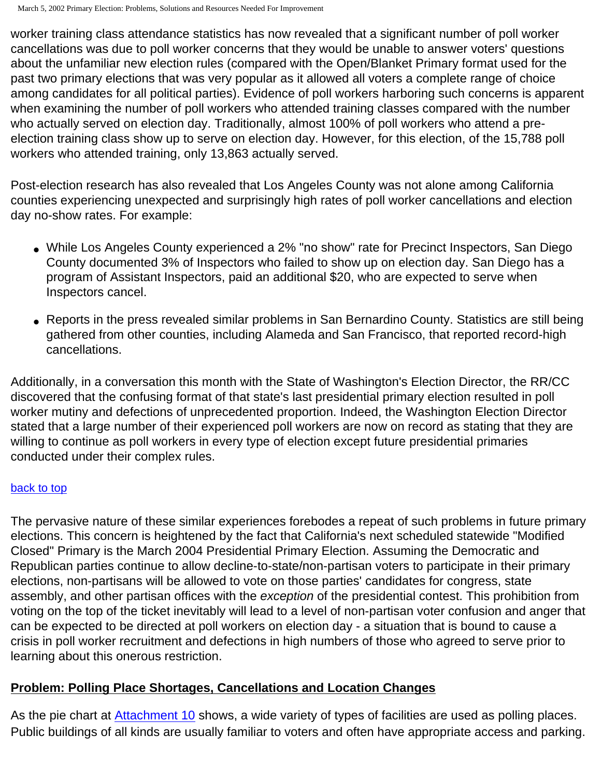worker training class attendance statistics has now revealed that a significant number of poll worker cancellations was due to poll worker concerns that they would be unable to answer voters' questions about the unfamiliar new election rules (compared with the Open/Blanket Primary format used for the past two primary elections that was very popular as it allowed all voters a complete range of choice among candidates for all political parties). Evidence of poll workers harboring such concerns is apparent when examining the number of poll workers who attended training classes compared with the number who actually served on election day. Traditionally, almost 100% of poll workers who attend a preelection training class show up to serve on election day. However, for this election, of the 15,788 poll workers who attended training, only 13,863 actually served.

Post-election research has also revealed that Los Angeles County was not alone among California counties experiencing unexpected and surprisingly high rates of poll worker cancellations and election day no-show rates. For example:

- While Los Angeles County experienced a 2% "no show" rate for Precinct Inspectors, San Diego County documented 3% of Inspectors who failed to show up on election day. San Diego has a program of Assistant Inspectors, paid an additional \$20, who are expected to serve when Inspectors cancel.
- Reports in the press revealed similar problems in San Bernardino County. Statistics are still being gathered from other counties, including Alameda and San Francisco, that reported record-high cancellations.

Additionally, in a conversation this month with the State of Washington's Election Director, the RR/CC discovered that the confusing format of that state's last presidential primary election resulted in poll worker mutiny and defections of unprecedented proportion. Indeed, the Washington Election Director stated that a large number of their experienced poll workers are now on record as stating that they are willing to continue as poll workers in every type of election except future presidential primaries conducted under their complex rules.

## [back to top](#page-0-0)

The pervasive nature of these similar experiences forebodes a repeat of such problems in future primary elections. This concern is heightened by the fact that California's next scheduled statewide "Modified Closed" Primary is the March 2004 Presidential Primary Election. Assuming the Democratic and Republican parties continue to allow decline-to-state/non-partisan voters to participate in their primary elections, non-partisans will be allowed to vote on those parties' candidates for congress, state assembly, and other partisan offices with the *exception* of the presidential contest. This prohibition from voting on the top of the ticket inevitably will lead to a level of non-partisan voter confusion and anger that can be expected to be directed at poll workers on election day - a situation that is bound to cause a crisis in poll worker recruitment and defections in high numbers of those who agreed to serve prior to learning about this onerous restriction.

# **Problem: Polling Place Shortages, Cancellations and Location Changes**

As the pie chart at [Attachment 10](http://www.lavote.net/general/3-5-02PSR/attach10.htm) shows, a wide variety of types of facilities are used as polling places. Public buildings of all kinds are usually familiar to voters and often have appropriate access and parking.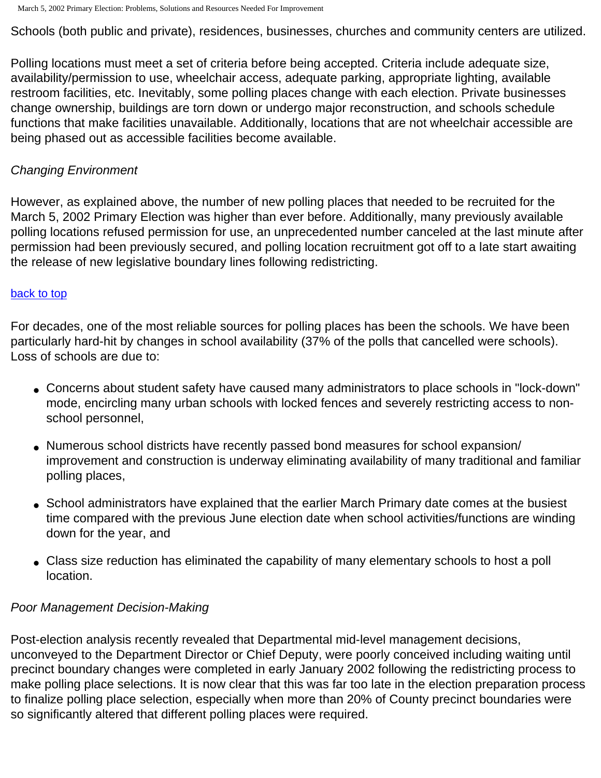Schools (both public and private), residences, businesses, churches and community centers are utilized.

Polling locations must meet a set of criteria before being accepted. Criteria include adequate size, availability/permission to use, wheelchair access, adequate parking, appropriate lighting, available restroom facilities, etc. Inevitably, some polling places change with each election. Private businesses change ownership, buildings are torn down or undergo major reconstruction, and schools schedule functions that make facilities unavailable. Additionally, locations that are not wheelchair accessible are being phased out as accessible facilities become available.

## *Changing Environment*

However, as explained above, the number of new polling places that needed to be recruited for the March 5, 2002 Primary Election was higher than ever before. Additionally, many previously available polling locations refused permission for use, an unprecedented number canceled at the last minute after permission had been previously secured, and polling location recruitment got off to a late start awaiting the release of new legislative boundary lines following redistricting.

#### [back to top](#page-0-0)

For decades, one of the most reliable sources for polling places has been the schools. We have been particularly hard-hit by changes in school availability (37% of the polls that cancelled were schools). Loss of schools are due to:

- Concerns about student safety have caused many administrators to place schools in "lock-down" mode, encircling many urban schools with locked fences and severely restricting access to nonschool personnel,
- Numerous school districts have recently passed bond measures for school expansion/ improvement and construction is underway eliminating availability of many traditional and familiar polling places,
- School administrators have explained that the earlier March Primary date comes at the busiest time compared with the previous June election date when school activities/functions are winding down for the year, and
- Class size reduction has eliminated the capability of many elementary schools to host a poll location.

## *Poor Management Decision-Making*

Post-election analysis recently revealed that Departmental mid-level management decisions, unconveyed to the Department Director or Chief Deputy, were poorly conceived including waiting until precinct boundary changes were completed in early January 2002 following the redistricting process to make polling place selections. It is now clear that this was far too late in the election preparation process to finalize polling place selection, especially when more than 20% of County precinct boundaries were so significantly altered that different polling places were required.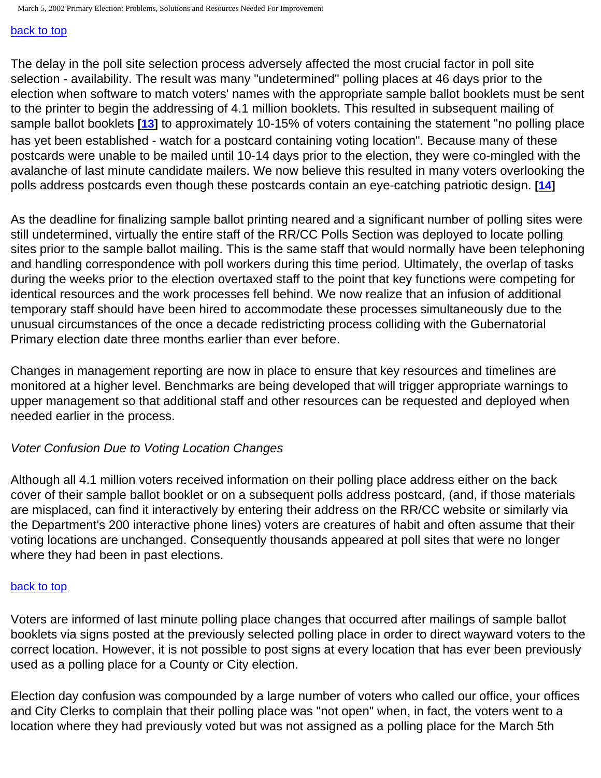#### [back to top](#page-0-0)

The delay in the poll site selection process adversely affected the most crucial factor in poll site selection - availability. The result was many "undetermined" polling places at 46 days prior to the election when software to match voters' names with the appropriate sample ballot booklets must be sent to the printer to begin the addressing of 4.1 million booklets. This resulted in subsequent mailing of sample ballot booklets **[\[13](#page-21-4)]** to approximately 10-15% of voters containing the statement "no polling place has yet been established - watch for a postcard containing voting location". Because many of these postcards were unable to be mailed until 10-14 days prior to the election, they were co-mingled with the avalanche of last minute candidate mailers. We now believe this resulted in many voters overlooking the polls address postcards even though these postcards contain an eye-catching patriotic design. **[[14](#page-21-5)]**

As the deadline for finalizing sample ballot printing neared and a significant number of polling sites were still undetermined, virtually the entire staff of the RR/CC Polls Section was deployed to locate polling sites prior to the sample ballot mailing. This is the same staff that would normally have been telephoning and handling correspondence with poll workers during this time period. Ultimately, the overlap of tasks during the weeks prior to the election overtaxed staff to the point that key functions were competing for identical resources and the work processes fell behind. We now realize that an infusion of additional temporary staff should have been hired to accommodate these processes simultaneously due to the unusual circumstances of the once a decade redistricting process colliding with the Gubernatorial Primary election date three months earlier than ever before.

Changes in management reporting are now in place to ensure that key resources and timelines are monitored at a higher level. Benchmarks are being developed that will trigger appropriate warnings to upper management so that additional staff and other resources can be requested and deployed when needed earlier in the process.

# *Voter Confusion Due to Voting Location Changes*

Although all 4.1 million voters received information on their polling place address either on the back cover of their sample ballot booklet or on a subsequent polls address postcard, (and, if those materials are misplaced, can find it interactively by entering their address on the RR/CC website or similarly via the Department's 200 interactive phone lines) voters are creatures of habit and often assume that their voting locations are unchanged. Consequently thousands appeared at poll sites that were no longer where they had been in past elections.

## [back to top](#page-0-0)

Voters are informed of last minute polling place changes that occurred after mailings of sample ballot booklets via signs posted at the previously selected polling place in order to direct wayward voters to the correct location. However, it is not possible to post signs at every location that has ever been previously used as a polling place for a County or City election.

Election day confusion was compounded by a large number of voters who called our office, your offices and City Clerks to complain that their polling place was "not open" when, in fact, the voters went to a location where they had previously voted but was not assigned as a polling place for the March 5th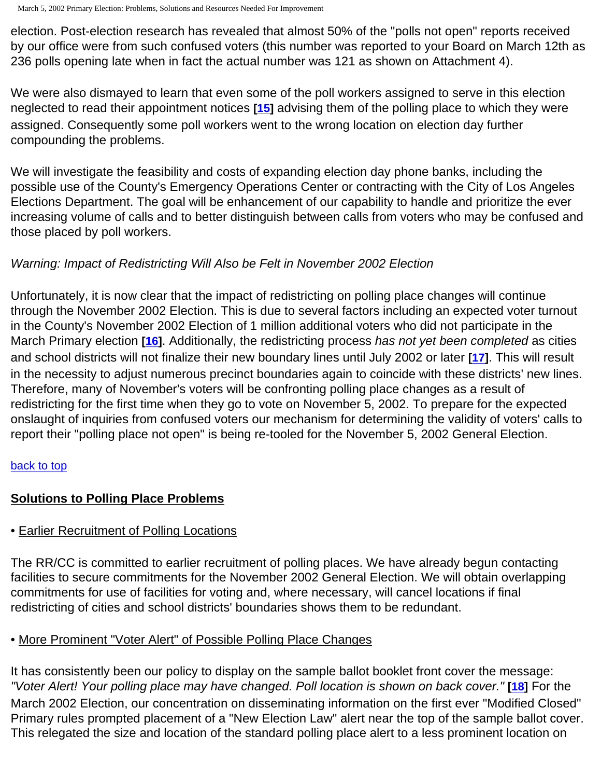election. Post-election research has revealed that almost 50% of the "polls not open" reports received by our office were from such confused voters (this number was reported to your Board on March 12th as 236 polls opening late when in fact the actual number was 121 as shown on Attachment 4).

We were also dismayed to learn that even some of the poll workers assigned to serve in this election neglected to read their appointment notices **[\[15](#page-21-6)]** advising them of the polling place to which they were assigned. Consequently some poll workers went to the wrong location on election day further compounding the problems.

We will investigate the feasibility and costs of expanding election day phone banks, including the possible use of the County's Emergency Operations Center or contracting with the City of Los Angeles Elections Department. The goal will be enhancement of our capability to handle and prioritize the ever increasing volume of calls and to better distinguish between calls from voters who may be confused and those placed by poll workers.

# *Warning: Impact of Redistricting Will Also be Felt in November 2002 Election*

Unfortunately, it is now clear that the impact of redistricting on polling place changes will continue through the November 2002 Election. This is due to several factors including an expected voter turnout in the County's November 2002 Election of 1 million additional voters who did not participate in the March Primary election **[\[16](#page-21-7)]**. Additionally, the redistricting process *has not yet been completed* as cities and school districts will not finalize their new boundary lines until July 2002 or later **[\[17](#page-21-8)]**. This will result in the necessity to adjust numerous precinct boundaries again to coincide with these districts' new lines. Therefore, many of November's voters will be confronting polling place changes as a result of redistricting for the first time when they go to vote on November 5, 2002. To prepare for the expected onslaught of inquiries from confused voters our mechanism for determining the validity of voters' calls to report their "polling place not open" is being re-tooled for the November 5, 2002 General Election.

# [back to top](#page-0-0)

# **Solutions to Polling Place Problems**

# • Earlier Recruitment of Polling Locations

The RR/CC is committed to earlier recruitment of polling places. We have already begun contacting facilities to secure commitments for the November 2002 General Election. We will obtain overlapping commitments for use of facilities for voting and, where necessary, will cancel locations if final redistricting of cities and school districts' boundaries shows them to be redundant.

# • More Prominent "Voter Alert" of Possible Polling Place Changes

It has consistently been our policy to display on the sample ballot booklet front cover the message: *"Voter Alert! Your polling place may have changed. Poll location is shown on back cover."* **[\[18](#page-21-9)]** For the March 2002 Election, our concentration on disseminating information on the first ever "Modified Closed" Primary rules prompted placement of a "New Election Law" alert near the top of the sample ballot cover. This relegated the size and location of the standard polling place alert to a less prominent location on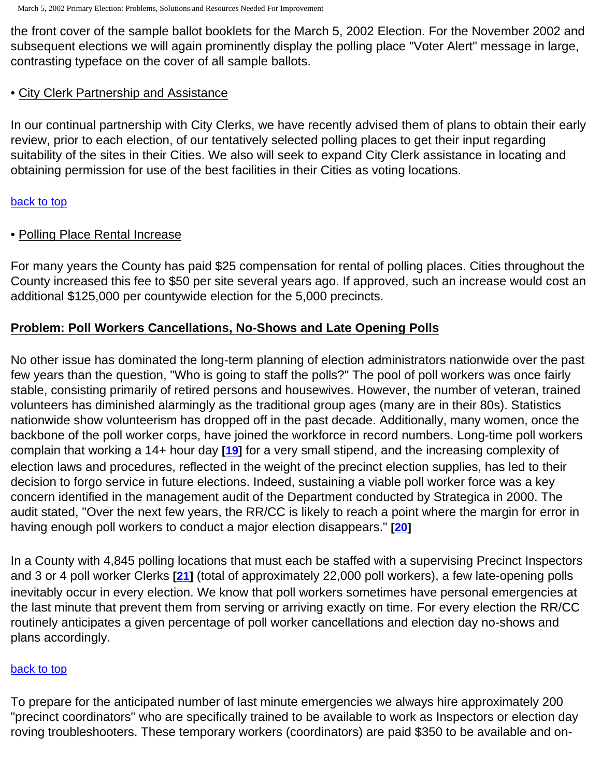the front cover of the sample ballot booklets for the March 5, 2002 Election. For the November 2002 and subsequent elections we will again prominently display the polling place "Voter Alert" message in large, contrasting typeface on the cover of all sample ballots.

# <span id="page-8-0"></span>• City Clerk Partnership and Assistance

In our continual partnership with City Clerks, we have recently advised them of plans to obtain their early review, prior to each election, of our tentatively selected polling places to get their input regarding suitability of the sites in their Cities. We also will seek to expand City Clerk assistance in locating and obtaining permission for use of the best facilities in their Cities as voting locations.

## [back to top](#page-0-0)

# • Polling Place Rental Increase

For many years the County has paid \$25 compensation for rental of polling places. Cities throughout the County increased this fee to \$50 per site several years ago. If approved, such an increase would cost an additional \$125,000 per countywide election for the 5,000 precincts.

# **Problem: Poll Workers Cancellations, No-Shows and Late Opening Polls**

No other issue has dominated the long-term planning of election administrators nationwide over the past few years than the question, "Who is going to staff the polls?" The pool of poll workers was once fairly stable, consisting primarily of retired persons and housewives. However, the number of veteran, trained volunteers has diminished alarmingly as the traditional group ages (many are in their 80s). Statistics nationwide show volunteerism has dropped off in the past decade. Additionally, many women, once the backbone of the poll worker corps, have joined the workforce in record numbers. Long-time poll workers complain that working a 14+ hour day **[[19](#page-21-10)]** for a very small stipend, and the increasing complexity of election laws and procedures, reflected in the weight of the precinct election supplies, has led to their decision to forgo service in future elections. Indeed, sustaining a viable poll worker force was a key concern identified in the management audit of the Department conducted by Strategica in 2000. The audit stated, "Over the next few years, the RR/CC is likely to reach a point where the margin for error in having enough poll workers to conduct a major election disappears." **[\[20](#page-21-11)]**

In a County with 4,845 polling locations that must each be staffed with a supervising Precinct Inspectors and 3 or 4 poll worker Clerks **[\[21](#page-21-12)]** (total of approximately 22,000 poll workers), a few late-opening polls inevitably occur in every election. We know that poll workers sometimes have personal emergencies at the last minute that prevent them from serving or arriving exactly on time. For every election the RR/CC routinely anticipates a given percentage of poll worker cancellations and election day no-shows and plans accordingly.

## [back to top](#page-0-0)

To prepare for the anticipated number of last minute emergencies we always hire approximately 200 "precinct coordinators" who are specifically trained to be available to work as Inspectors or election day roving troubleshooters. These temporary workers (coordinators) are paid \$350 to be available and on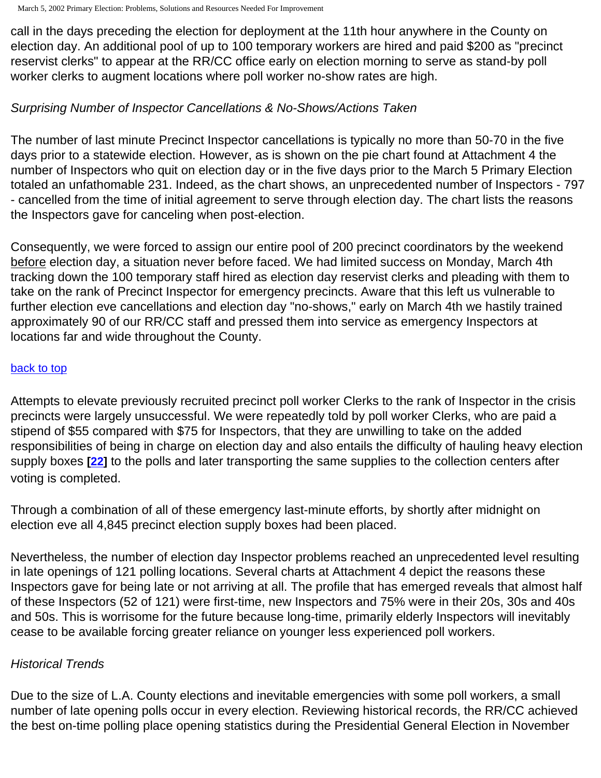call in the days preceding the election for deployment at the 11th hour anywhere in the County on election day. An additional pool of up to 100 temporary workers are hired and paid \$200 as "precinct reservist clerks" to appear at the RR/CC office early on election morning to serve as stand-by poll worker clerks to augment locations where poll worker no-show rates are high.

# *Surprising Number of Inspector Cancellations & No-Shows/Actions Taken*

The number of last minute Precinct Inspector cancellations is typically no more than 50-70 in the five days prior to a statewide election. However, as is shown on the pie chart found at Attachment 4 the number of Inspectors who quit on election day or in the five days prior to the March 5 Primary Election totaled an unfathomable 231. Indeed, as the chart shows, an unprecedented number of Inspectors - 797 - cancelled from the time of initial agreement to serve through election day. The chart lists the reasons the Inspectors gave for canceling when post-election.

Consequently, we were forced to assign our entire pool of 200 precinct coordinators by the weekend before election day, a situation never before faced. We had limited success on Monday, March 4th tracking down the 100 temporary staff hired as election day reservist clerks and pleading with them to take on the rank of Precinct Inspector for emergency precincts. Aware that this left us vulnerable to further election eve cancellations and election day "no-shows," early on March 4th we hastily trained approximately 90 of our RR/CC staff and pressed them into service as emergency Inspectors at locations far and wide throughout the County.

# [back to top](#page-0-0)

Attempts to elevate previously recruited precinct poll worker Clerks to the rank of Inspector in the crisis precincts were largely unsuccessful. We were repeatedly told by poll worker Clerks, who are paid a stipend of \$55 compared with \$75 for Inspectors, that they are unwilling to take on the added responsibilities of being in charge on election day and also entails the difficulty of hauling heavy election supply boxes **[[22\]](#page-21-13)** to the polls and later transporting the same supplies to the collection centers after voting is completed.

Through a combination of all of these emergency last-minute efforts, by shortly after midnight on election eve all 4,845 precinct election supply boxes had been placed.

Nevertheless, the number of election day Inspector problems reached an unprecedented level resulting in late openings of 121 polling locations. Several charts at Attachment 4 depict the reasons these Inspectors gave for being late or not arriving at all. The profile that has emerged reveals that almost half of these Inspectors (52 of 121) were first-time, new Inspectors and 75% were in their 20s, 30s and 40s and 50s. This is worrisome for the future because long-time, primarily elderly Inspectors will inevitably cease to be available forcing greater reliance on younger less experienced poll workers.

# *Historical Trends*

Due to the size of L.A. County elections and inevitable emergencies with some poll workers, a small number of late opening polls occur in every election. Reviewing historical records, the RR/CC achieved the best on-time polling place opening statistics during the Presidential General Election in November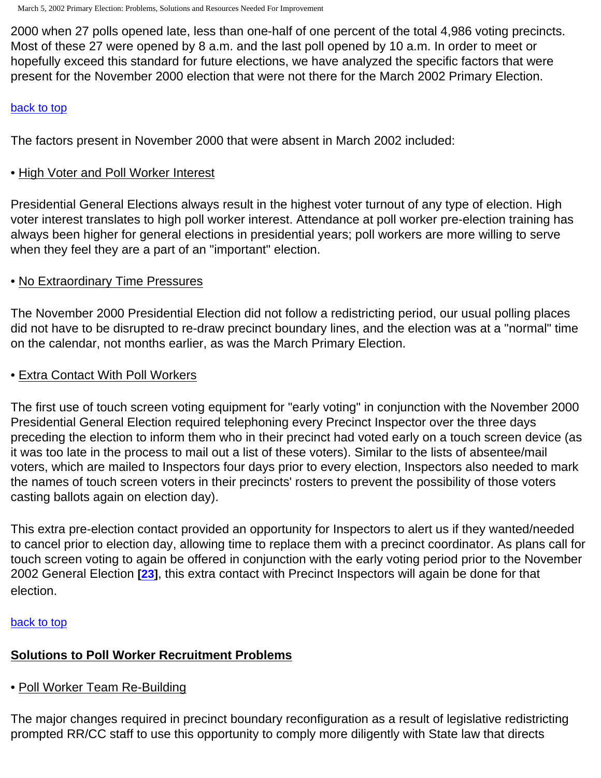2000 when 27 polls opened late, less than one-half of one percent of the total 4,986 voting precincts. Most of these 27 were opened by 8 a.m. and the last poll opened by 10 a.m. In order to meet or hopefully exceed this standard for future elections, we have analyzed the specific factors that were present for the November 2000 election that were not there for the March 2002 Primary Election.

#### [back to top](#page-0-0)

The factors present in November 2000 that were absent in March 2002 included:

## • High Voter and Poll Worker Interest

Presidential General Elections always result in the highest voter turnout of any type of election. High voter interest translates to high poll worker interest. Attendance at poll worker pre-election training has always been higher for general elections in presidential years; poll workers are more willing to serve when they feel they are a part of an "important" election.

# • No Extraordinary Time Pressures

The November 2000 Presidential Election did not follow a redistricting period, our usual polling places did not have to be disrupted to re-draw precinct boundary lines, and the election was at a "normal" time on the calendar, not months earlier, as was the March Primary Election.

# • Extra Contact With Poll Workers

The first use of touch screen voting equipment for "early voting" in conjunction with the November 2000 Presidential General Election required telephoning every Precinct Inspector over the three days preceding the election to inform them who in their precinct had voted early on a touch screen device (as it was too late in the process to mail out a list of these voters). Similar to the lists of absentee/mail voters, which are mailed to Inspectors four days prior to every election, Inspectors also needed to mark the names of touch screen voters in their precincts' rosters to prevent the possibility of those voters casting ballots again on election day).

This extra pre-election contact provided an opportunity for Inspectors to alert us if they wanted/needed to cancel prior to election day, allowing time to replace them with a precinct coordinator. As plans call for touch screen voting to again be offered in conjunction with the early voting period prior to the November 2002 General Election **[\[23](#page-22-0)]**, this extra contact with Precinct Inspectors will again be done for that election.

## [back to top](#page-0-0)

# **Solutions to Poll Worker Recruitment Problems**

• Poll Worker Team Re-Building

The major changes required in precinct boundary reconfiguration as a result of legislative redistricting prompted RR/CC staff to use this opportunity to comply more diligently with State law that directs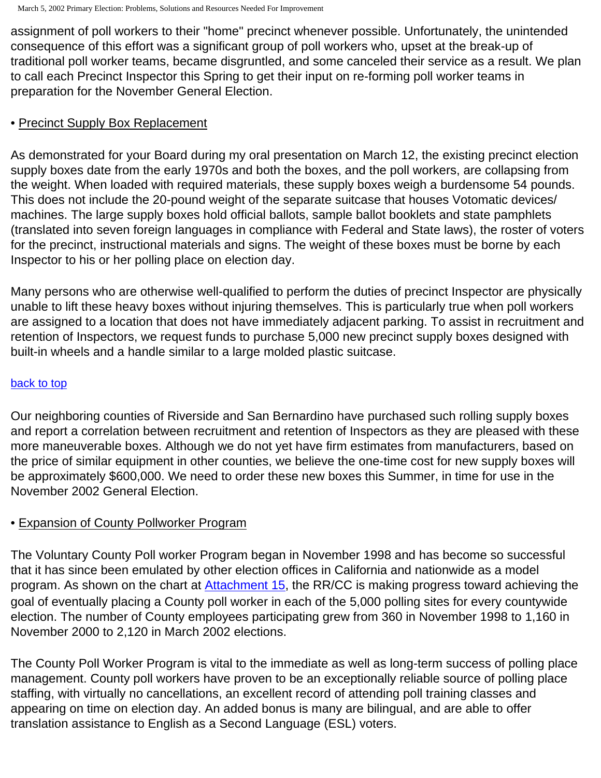assignment of poll workers to their "home" precinct whenever possible. Unfortunately, the unintended consequence of this effort was a significant group of poll workers who, upset at the break-up of traditional poll worker teams, became disgruntled, and some canceled their service as a result. We plan to call each Precinct Inspector this Spring to get their input on re-forming poll worker teams in preparation for the November General Election.

# • Precinct Supply Box Replacement

As demonstrated for your Board during my oral presentation on March 12, the existing precinct election supply boxes date from the early 1970s and both the boxes, and the poll workers, are collapsing from the weight. When loaded with required materials, these supply boxes weigh a burdensome 54 pounds. This does not include the 20-pound weight of the separate suitcase that houses Votomatic devices/ machines. The large supply boxes hold official ballots, sample ballot booklets and state pamphlets (translated into seven foreign languages in compliance with Federal and State laws), the roster of voters for the precinct, instructional materials and signs. The weight of these boxes must be borne by each Inspector to his or her polling place on election day.

Many persons who are otherwise well-qualified to perform the duties of precinct Inspector are physically unable to lift these heavy boxes without injuring themselves. This is particularly true when poll workers are assigned to a location that does not have immediately adjacent parking. To assist in recruitment and retention of Inspectors, we request funds to purchase 5,000 new precinct supply boxes designed with built-in wheels and a handle similar to a large molded plastic suitcase.

## [back to top](#page-0-0)

Our neighboring counties of Riverside and San Bernardino have purchased such rolling supply boxes and report a correlation between recruitment and retention of Inspectors as they are pleased with these more maneuverable boxes. Although we do not yet have firm estimates from manufacturers, based on the price of similar equipment in other counties, we believe the one-time cost for new supply boxes will be approximately \$600,000. We need to order these new boxes this Summer, in time for use in the November 2002 General Election.

# • Expansion of County Pollworker Program

The Voluntary County Poll worker Program began in November 1998 and has become so successful that it has since been emulated by other election offices in California and nationwide as a model program. As shown on the chart at [Attachment 15,](http://www.lavote.net/general/3-5-02PSR/attach15.htm) the RR/CC is making progress toward achieving the goal of eventually placing a County poll worker in each of the 5,000 polling sites for every countywide election. The number of County employees participating grew from 360 in November 1998 to 1,160 in November 2000 to 2,120 in March 2002 elections.

The County Poll Worker Program is vital to the immediate as well as long-term success of polling place management. County poll workers have proven to be an exceptionally reliable source of polling place staffing, with virtually no cancellations, an excellent record of attending poll training classes and appearing on time on election day. An added bonus is many are bilingual, and are able to offer translation assistance to English as a Second Language (ESL) voters.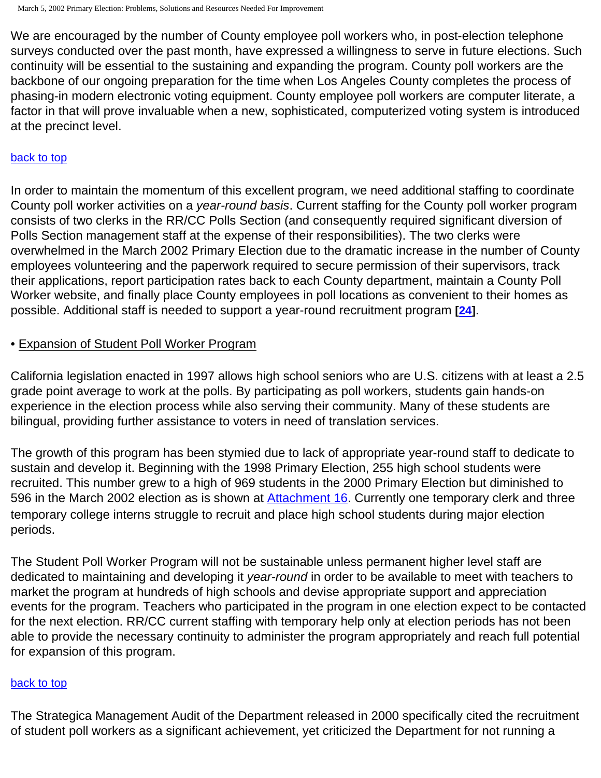We are encouraged by the number of County employee poll workers who, in post-election telephone surveys conducted over the past month, have expressed a willingness to serve in future elections. Such continuity will be essential to the sustaining and expanding the program. County poll workers are the backbone of our ongoing preparation for the time when Los Angeles County completes the process of phasing-in modern electronic voting equipment. County employee poll workers are computer literate, a factor in that will prove invaluable when a new, sophisticated, computerized voting system is introduced at the precinct level.

# [back to top](#page-0-0)

In order to maintain the momentum of this excellent program, we need additional staffing to coordinate County poll worker activities on a *year-round basis*. Current staffing for the County poll worker program consists of two clerks in the RR/CC Polls Section (and consequently required significant diversion of Polls Section management staff at the expense of their responsibilities). The two clerks were overwhelmed in the March 2002 Primary Election due to the dramatic increase in the number of County employees volunteering and the paperwork required to secure permission of their supervisors, track their applications, report participation rates back to each County department, maintain a County Poll Worker website, and finally place County employees in poll locations as convenient to their homes as possible. Additional staff is needed to support a year-round recruitment program **[[24\]](#page-22-1)**.

# • Expansion of Student Poll Worker Program

California legislation enacted in 1997 allows high school seniors who are U.S. citizens with at least a 2.5 grade point average to work at the polls. By participating as poll workers, students gain hands-on experience in the election process while also serving their community. Many of these students are bilingual, providing further assistance to voters in need of translation services.

The growth of this program has been stymied due to lack of appropriate year-round staff to dedicate to sustain and develop it. Beginning with the 1998 Primary Election, 255 high school students were recruited. This number grew to a high of 969 students in the 2000 Primary Election but diminished to 596 in the March 2002 election as is shown at [Attachment 16](http://www.lavote.net/general/3-5-02PSR/attach16.htm). Currently one temporary clerk and three temporary college interns struggle to recruit and place high school students during major election periods.

The Student Poll Worker Program will not be sustainable unless permanent higher level staff are dedicated to maintaining and developing it *year-round* in order to be available to meet with teachers to market the program at hundreds of high schools and devise appropriate support and appreciation events for the program. Teachers who participated in the program in one election expect to be contacted for the next election. RR/CC current staffing with temporary help only at election periods has not been able to provide the necessary continuity to administer the program appropriately and reach full potential for expansion of this program.

## [back to top](#page-0-0)

The Strategica Management Audit of the Department released in 2000 specifically cited the recruitment of student poll workers as a significant achievement, yet criticized the Department for not running a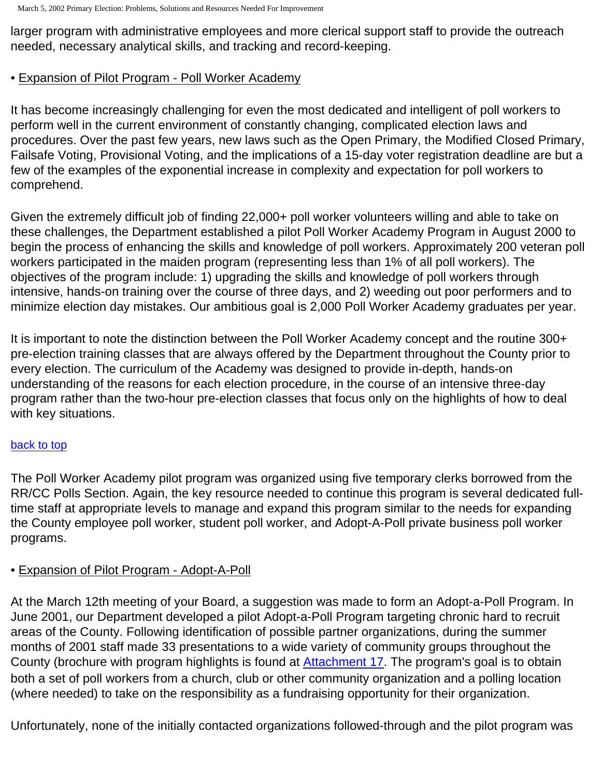larger program with administrative employees and more clerical support staff to provide the outreach needed, necessary analytical skills, and tracking and record-keeping.

# <span id="page-13-0"></span>• Expansion of Pilot Program - Poll Worker Academy

It has become increasingly challenging for even the most dedicated and intelligent of poll workers to perform well in the current environment of constantly changing, complicated election laws and procedures. Over the past few years, new laws such as the Open Primary, the Modified Closed Primary, Failsafe Voting, Provisional Voting, and the implications of a 15-day voter registration deadline are but a few of the examples of the exponential increase in complexity and expectation for poll workers to comprehend.

Given the extremely difficult job of finding 22,000+ poll worker volunteers willing and able to take on these challenges, the Department established a pilot Poll Worker Academy Program in August 2000 to begin the process of enhancing the skills and knowledge of poll workers. Approximately 200 veteran poll workers participated in the maiden program (representing less than 1% of all poll workers). The objectives of the program include: 1) upgrading the skills and knowledge of poll workers through intensive, hands-on training over the course of three days, and 2) weeding out poor performers and to minimize election day mistakes. Our ambitious goal is 2,000 Poll Worker Academy graduates per year.

It is important to note the distinction between the Poll Worker Academy concept and the routine 300+ pre-election training classes that are always offered by the Department throughout the County prior to every election. The curriculum of the Academy was designed to provide in-depth, hands-on understanding of the reasons for each election procedure, in the course of an intensive three-day program rather than the two-hour pre-election classes that focus only on the highlights of how to deal with key situations.

## [back to top](#page-0-0)

The Poll Worker Academy pilot program was organized using five temporary clerks borrowed from the RR/CC Polls Section. Again, the key resource needed to continue this program is several dedicated fulltime staff at appropriate levels to manage and expand this program similar to the needs for expanding the County employee poll worker, student poll worker, and Adopt-A-Poll private business poll worker programs.

## • Expansion of Pilot Program - Adopt-A-Poll

At the March 12th meeting of your Board, a suggestion was made to form an Adopt-a-Poll Program. In June 2001, our Department developed a pilot Adopt-a-Poll Program targeting chronic hard to recruit areas of the County. Following identification of possible partner organizations, during the summer months of 2001 staff made 33 presentations to a wide variety of community groups throughout the County (brochure with program highlights is found at [Attachment 17](http://www.lavote.net/general/3-5-02PSR/attach17.htm). The program's goal is to obtain both a set of poll workers from a church, club or other community organization and a polling location (where needed) to take on the responsibility as a fundraising opportunity for their organization.

Unfortunately, none of the initially contacted organizations followed-through and the pilot program was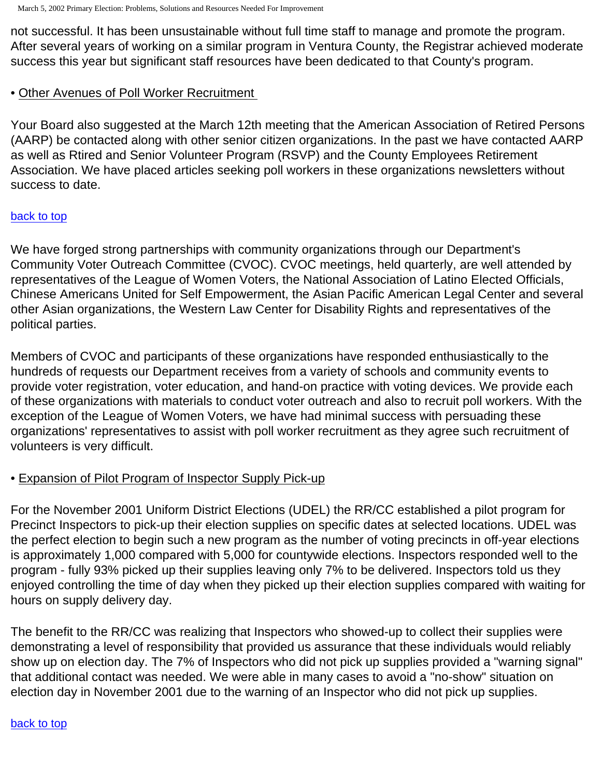not successful. It has been unsustainable without full time staff to manage and promote the program. After several years of working on a similar program in Ventura County, the Registrar achieved moderate success this year but significant staff resources have been dedicated to that County's program.

# • Other Avenues of Poll Worker Recruitment

Your Board also suggested at the March 12th meeting that the American Association of Retired Persons (AARP) be contacted along with other senior citizen organizations. In the past we have contacted AARP as well as Rtired and Senior Volunteer Program (RSVP) and the County Employees Retirement Association. We have placed articles seeking poll workers in these organizations newsletters without success to date.

## [back to top](#page-0-0)

We have forged strong partnerships with community organizations through our Department's Community Voter Outreach Committee (CVOC). CVOC meetings, held quarterly, are well attended by representatives of the League of Women Voters, the National Association of Latino Elected Officials, Chinese Americans United for Self Empowerment, the Asian Pacific American Legal Center and several other Asian organizations, the Western Law Center for Disability Rights and representatives of the political parties.

Members of CVOC and participants of these organizations have responded enthusiastically to the hundreds of requests our Department receives from a variety of schools and community events to provide voter registration, voter education, and hand-on practice with voting devices. We provide each of these organizations with materials to conduct voter outreach and also to recruit poll workers. With the exception of the League of Women Voters, we have had minimal success with persuading these organizations' representatives to assist with poll worker recruitment as they agree such recruitment of volunteers is very difficult.

# • Expansion of Pilot Program of Inspector Supply Pick-up

For the November 2001 Uniform District Elections (UDEL) the RR/CC established a pilot program for Precinct Inspectors to pick-up their election supplies on specific dates at selected locations. UDEL was the perfect election to begin such a new program as the number of voting precincts in off-year elections is approximately 1,000 compared with 5,000 for countywide elections. Inspectors responded well to the program - fully 93% picked up their supplies leaving only 7% to be delivered. Inspectors told us they enjoyed controlling the time of day when they picked up their election supplies compared with waiting for hours on supply delivery day.

The benefit to the RR/CC was realizing that Inspectors who showed-up to collect their supplies were demonstrating a level of responsibility that provided us assurance that these individuals would reliably show up on election day. The 7% of Inspectors who did not pick up supplies provided a "warning signal" that additional contact was needed. We were able in many cases to avoid a "no-show" situation on election day in November 2001 due to the warning of an Inspector who did not pick up supplies.

#### [back to top](#page-0-0)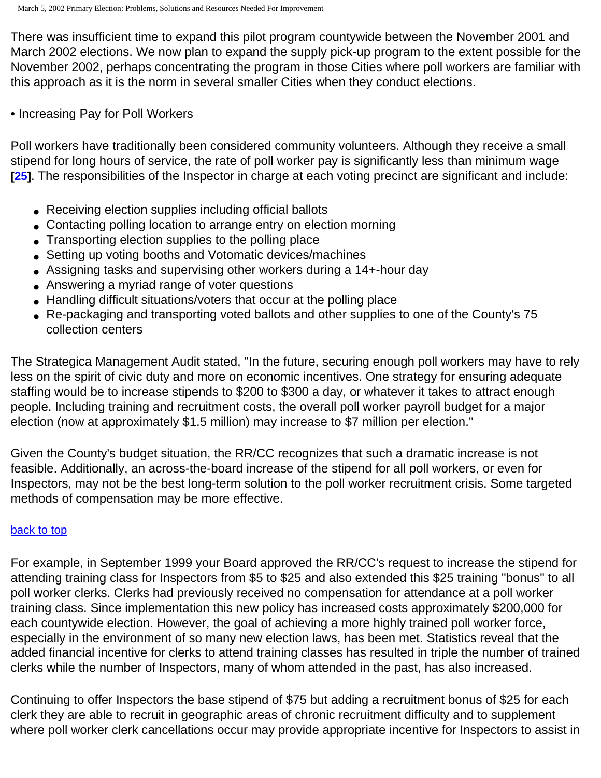There was insufficient time to expand this pilot program countywide between the November 2001 and March 2002 elections. We now plan to expand the supply pick-up program to the extent possible for the November 2002, perhaps concentrating the program in those Cities where poll workers are familiar with this approach as it is the norm in several smaller Cities when they conduct elections.

#### • Increasing Pay for Poll Workers

Poll workers have traditionally been considered community volunteers. Although they receive a small stipend for long hours of service, the rate of poll worker pay is significantly less than minimum wage **[[25\]](#page-22-2)**. The responsibilities of the Inspector in charge at each voting precinct are significant and include:

- Receiving election supplies including official ballots
- Contacting polling location to arrange entry on election morning
- Transporting election supplies to the polling place
- Setting up voting booths and Votomatic devices/machines
- Assigning tasks and supervising other workers during a 14+-hour day
- Answering a myriad range of voter questions
- Handling difficult situations/voters that occur at the polling place
- Re-packaging and transporting voted ballots and other supplies to one of the County's 75 collection centers

The Strategica Management Audit stated, "In the future, securing enough poll workers may have to rely less on the spirit of civic duty and more on economic incentives. One strategy for ensuring adequate staffing would be to increase stipends to \$200 to \$300 a day, or whatever it takes to attract enough people. Including training and recruitment costs, the overall poll worker payroll budget for a major election (now at approximately \$1.5 million) may increase to \$7 million per election."

Given the County's budget situation, the RR/CC recognizes that such a dramatic increase is not feasible. Additionally, an across-the-board increase of the stipend for all poll workers, or even for Inspectors, may not be the best long-term solution to the poll worker recruitment crisis. Some targeted methods of compensation may be more effective.

## [back to top](#page-0-0)

For example, in September 1999 your Board approved the RR/CC's request to increase the stipend for attending training class for Inspectors from \$5 to \$25 and also extended this \$25 training "bonus" to all poll worker clerks. Clerks had previously received no compensation for attendance at a poll worker training class. Since implementation this new policy has increased costs approximately \$200,000 for each countywide election. However, the goal of achieving a more highly trained poll worker force, especially in the environment of so many new election laws, has been met. Statistics reveal that the added financial incentive for clerks to attend training classes has resulted in triple the number of trained clerks while the number of Inspectors, many of whom attended in the past, has also increased.

Continuing to offer Inspectors the base stipend of \$75 but adding a recruitment bonus of \$25 for each clerk they are able to recruit in geographic areas of chronic recruitment difficulty and to supplement where poll worker clerk cancellations occur may provide appropriate incentive for Inspectors to assist in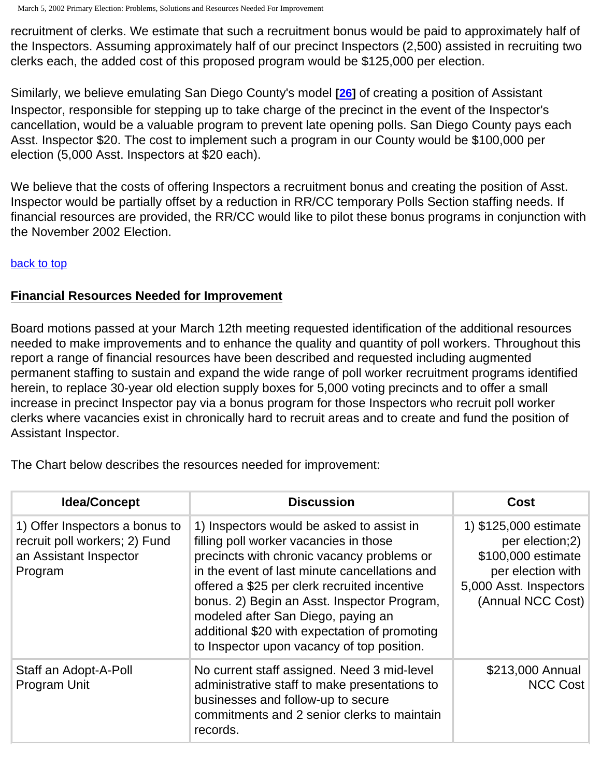recruitment of clerks. We estimate that such a recruitment bonus would be paid to approximately half of the Inspectors. Assuming approximately half of our precinct Inspectors (2,500) assisted in recruiting two clerks each, the added cost of this proposed program would be \$125,000 per election.

Similarly, we believe emulating San Diego County's model **[[26\]](#page-22-3)** of creating a position of Assistant Inspector, responsible for stepping up to take charge of the precinct in the event of the Inspector's cancellation, would be a valuable program to prevent late opening polls. San Diego County pays each Asst. Inspector \$20. The cost to implement such a program in our County would be \$100,000 per election (5,000 Asst. Inspectors at \$20 each).

We believe that the costs of offering Inspectors a recruitment bonus and creating the position of Asst. Inspector would be partially offset by a reduction in RR/CC temporary Polls Section staffing needs. If financial resources are provided, the RR/CC would like to pilot these bonus programs in conjunction with the November 2002 Election.

## [back to top](#page-0-0)

# **Financial Resources Needed for Improvement**

Board motions passed at your March 12th meeting requested identification of the additional resources needed to make improvements and to enhance the quality and quantity of poll workers. Throughout this report a range of financial resources have been described and requested including augmented permanent staffing to sustain and expand the wide range of poll worker recruitment programs identified herein, to replace 30-year old election supply boxes for 5,000 voting precincts and to offer a small increase in precinct Inspector pay via a bonus program for those Inspectors who recruit poll worker clerks where vacancies exist in chronically hard to recruit areas and to create and fund the position of Assistant Inspector.

<span id="page-16-0"></span>The Chart below describes the resources needed for improvement:

| <b>Idea/Concept</b>                                                                                  | <b>Discussion</b>                                                                                                                                                                                                                                                                                                                                                                                                      | Cost                                                                                                                               |
|------------------------------------------------------------------------------------------------------|------------------------------------------------------------------------------------------------------------------------------------------------------------------------------------------------------------------------------------------------------------------------------------------------------------------------------------------------------------------------------------------------------------------------|------------------------------------------------------------------------------------------------------------------------------------|
| 1) Offer Inspectors a bonus to<br>recruit poll workers; 2) Fund<br>an Assistant Inspector<br>Program | 1) Inspectors would be asked to assist in<br>filling poll worker vacancies in those<br>precincts with chronic vacancy problems or<br>in the event of last minute cancellations and<br>offered a \$25 per clerk recruited incentive<br>bonus. 2) Begin an Asst. Inspector Program,<br>modeled after San Diego, paying an<br>additional \$20 with expectation of promoting<br>to Inspector upon vacancy of top position. | 1) \$125,000 estimate<br>per election;2)<br>\$100,000 estimate<br>per election with<br>5,000 Asst. Inspectors<br>(Annual NCC Cost) |
| Staff an Adopt-A-Poll<br>Program Unit                                                                | No current staff assigned. Need 3 mid-level<br>administrative staff to make presentations to<br>businesses and follow-up to secure<br>commitments and 2 senior clerks to maintain<br>records.                                                                                                                                                                                                                          | \$213,000 Annual<br><b>NCC Cost</b>                                                                                                |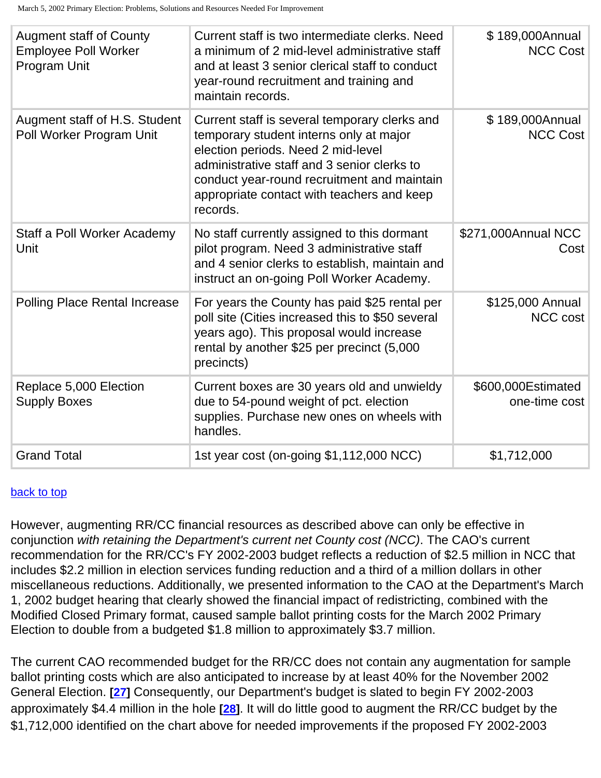| <b>Augment staff of County</b><br><b>Employee Poll Worker</b><br>Program Unit | Current staff is two intermediate clerks. Need<br>a minimum of 2 mid-level administrative staff<br>and at least 3 senior clerical staff to conduct<br>year-round recruitment and training and<br>maintain records.                                                                     | \$189,000Annual<br><b>NCC Cost</b>  |
|-------------------------------------------------------------------------------|----------------------------------------------------------------------------------------------------------------------------------------------------------------------------------------------------------------------------------------------------------------------------------------|-------------------------------------|
| Augment staff of H.S. Student<br>Poll Worker Program Unit                     | Current staff is several temporary clerks and<br>temporary student interns only at major<br>election periods. Need 2 mid-level<br>administrative staff and 3 senior clerks to<br>conduct year-round recruitment and maintain<br>appropriate contact with teachers and keep<br>records. | \$189,000Annual<br><b>NCC Cost</b>  |
| Staff a Poll Worker Academy<br>Unit                                           | No staff currently assigned to this dormant<br>pilot program. Need 3 administrative staff<br>and 4 senior clerks to establish, maintain and<br>instruct an on-going Poll Worker Academy.                                                                                               | \$271,000Annual NCC<br>Cost         |
| <b>Polling Place Rental Increase</b>                                          | For years the County has paid \$25 rental per<br>poll site (Cities increased this to \$50 several<br>years ago). This proposal would increase<br>rental by another \$25 per precinct (5,000<br>precincts)                                                                              | \$125,000 Annual<br>NCC cost        |
| Replace 5,000 Election<br><b>Supply Boxes</b>                                 | Current boxes are 30 years old and unwieldy<br>due to 54-pound weight of pct. election<br>supplies. Purchase new ones on wheels with<br>handles.                                                                                                                                       | \$600,000Estimated<br>one-time cost |
| <b>Grand Total</b>                                                            | 1st year cost (on-going \$1,112,000 NCC)                                                                                                                                                                                                                                               | \$1,712,000                         |

#### [back to top](#page-0-0)

However, augmenting RR/CC financial resources as described above can only be effective in conjunction *with retaining the Department's current net County cost (NCC)*. The CAO's current recommendation for the RR/CC's FY 2002-2003 budget reflects a reduction of \$2.5 million in NCC that includes \$2.2 million in election services funding reduction and a third of a million dollars in other miscellaneous reductions. Additionally, we presented information to the CAO at the Department's March 1, 2002 budget hearing that clearly showed the financial impact of redistricting, combined with the Modified Closed Primary format, caused sample ballot printing costs for the March 2002 Primary Election to double from a budgeted \$1.8 million to approximately \$3.7 million.

The current CAO recommended budget for the RR/CC does not contain any augmentation for sample ballot printing costs which are also anticipated to increase by at least 40% for the November 2002 General Election. **[[27\]](#page-22-4)** Consequently, our Department's budget is slated to begin FY 2002-2003 approximately \$4.4 million in the hole **[\[28\]](#page-22-5)**. It will do little good to augment the RR/CC budget by the \$1,712,000 identified on the chart above for needed improvements if the proposed FY 2002-2003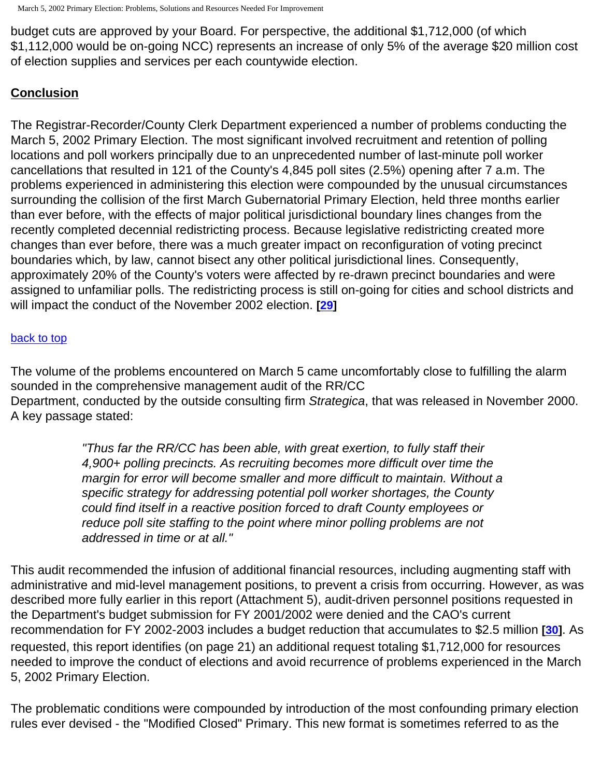budget cuts are approved by your Board. For perspective, the additional \$1,712,000 (of which \$1,112,000 would be on-going NCC) represents an increase of only 5% of the average \$20 million cost of election supplies and services per each countywide election.

# **Conclusion**

The Registrar-Recorder/County Clerk Department experienced a number of problems conducting the March 5, 2002 Primary Election. The most significant involved recruitment and retention of polling locations and poll workers principally due to an unprecedented number of last-minute poll worker cancellations that resulted in 121 of the County's 4,845 poll sites (2.5%) opening after 7 a.m. The problems experienced in administering this election were compounded by the unusual circumstances surrounding the collision of the first March Gubernatorial Primary Election, held three months earlier than ever before, with the effects of major political jurisdictional boundary lines changes from the recently completed decennial redistricting process. Because legislative redistricting created more changes than ever before, there was a much greater impact on reconfiguration of voting precinct boundaries which, by law, cannot bisect any other political jurisdictional lines. Consequently, approximately 20% of the County's voters were affected by re-drawn precinct boundaries and were assigned to unfamiliar polls. The redistricting process is still on-going for cities and school districts and will impact the conduct of the November 2002 election. **[\[29](#page-22-6)]**

#### [back to top](#page-0-0)

The volume of the problems encountered on March 5 came uncomfortably close to fulfilling the alarm sounded in the comprehensive management audit of the RR/CC Department, conducted by the outside consulting firm *Strategica*, that was released in November 2000. A key passage stated:

> *"Thus far the RR/CC has been able, with great exertion, to fully staff their 4,900+ polling precincts. As recruiting becomes more difficult over time the margin for error will become smaller and more difficult to maintain. Without a specific strategy for addressing potential poll worker shortages, the County could find itself in a reactive position forced to draft County employees or reduce poll site staffing to the point where minor polling problems are not addressed in time or at all."*

This audit recommended the infusion of additional financial resources, including augmenting staff with administrative and mid-level management positions, to prevent a crisis from occurring. However, as was described more fully earlier in this report (Attachment 5), audit-driven personnel positions requested in the Department's budget submission for FY 2001/2002 were denied and the CAO's current recommendation for FY 2002-2003 includes a budget reduction that accumulates to \$2.5 million **[\[30](#page-22-7)]**. As requested, this report identifies (on page 21) an additional request totaling \$1,712,000 for resources needed to improve the conduct of elections and avoid recurrence of problems experienced in the March 5, 2002 Primary Election.

The problematic conditions were compounded by introduction of the most confounding primary election rules ever devised - the "Modified Closed" Primary. This new format is sometimes referred to as the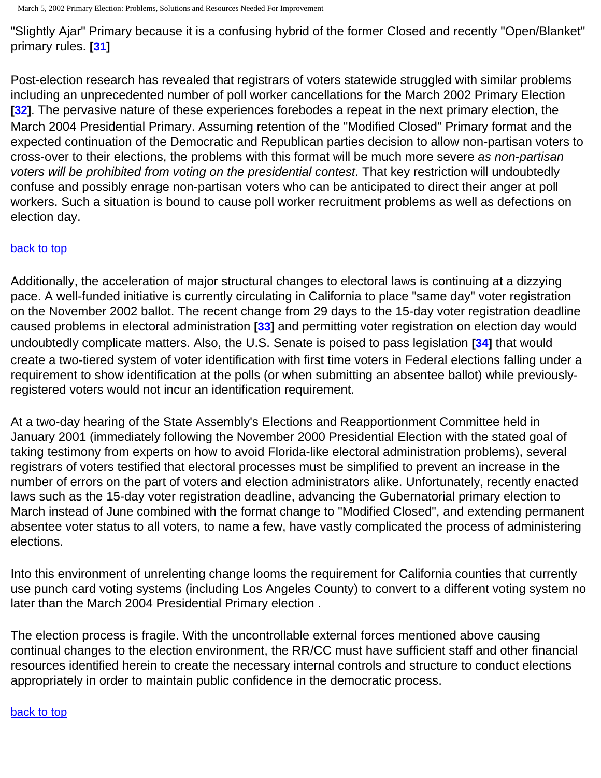March 5, 2002 Primary Election: Problems, Solutions and Resources Needed For Improvement

"Slightly Ajar" Primary because it is a confusing hybrid of the former Closed and recently "Open/Blanket" primary rules. **[\[31](#page-22-8)]**

Post-election research has revealed that registrars of voters statewide struggled with similar problems including an unprecedented number of poll worker cancellations for the March 2002 Primary Election **[[32\]](#page-22-9)**. The pervasive nature of these experiences forebodes a repeat in the next primary election, the March 2004 Presidential Primary. Assuming retention of the "Modified Closed" Primary format and the expected continuation of the Democratic and Republican parties decision to allow non-partisan voters to cross-over to their elections, the problems with this format will be much more severe *as non-partisan voters will be prohibited from voting on the presidential contest*. That key restriction will undoubtedly confuse and possibly enrage non-partisan voters who can be anticipated to direct their anger at poll workers. Such a situation is bound to cause poll worker recruitment problems as well as defections on election day.

#### [back to top](#page-0-0)

Additionally, the acceleration of major structural changes to electoral laws is continuing at a dizzying pace. A well-funded initiative is currently circulating in California to place "same day" voter registration on the November 2002 ballot. The recent change from 29 days to the 15-day voter registration deadline caused problems in electoral administration **[[33\]](#page-22-10)** and permitting voter registration on election day would undoubtedly complicate matters. Also, the U.S. Senate is poised to pass legislation **[[34\]](#page-22-11)** that would create a two-tiered system of voter identification with first time voters in Federal elections falling under a requirement to show identification at the polls (or when submitting an absentee ballot) while previouslyregistered voters would not incur an identification requirement.

At a two-day hearing of the State Assembly's Elections and Reapportionment Committee held in January 2001 (immediately following the November 2000 Presidential Election with the stated goal of taking testimony from experts on how to avoid Florida-like electoral administration problems), several registrars of voters testified that electoral processes must be simplified to prevent an increase in the number of errors on the part of voters and election administrators alike. Unfortunately, recently enacted laws such as the 15-day voter registration deadline, advancing the Gubernatorial primary election to March instead of June combined with the format change to "Modified Closed", and extending permanent absentee voter status to all voters, to name a few, have vastly complicated the process of administering elections.

Into this environment of unrelenting change looms the requirement for California counties that currently use punch card voting systems (including Los Angeles County) to convert to a different voting system no later than the March 2004 Presidential Primary election .

The election process is fragile. With the uncontrollable external forces mentioned above causing continual changes to the election environment, the RR/CC must have sufficient staff and other financial resources identified herein to create the necessary internal controls and structure to conduct elections appropriately in order to maintain public confidence in the democratic process.

#### [back to top](#page-0-0)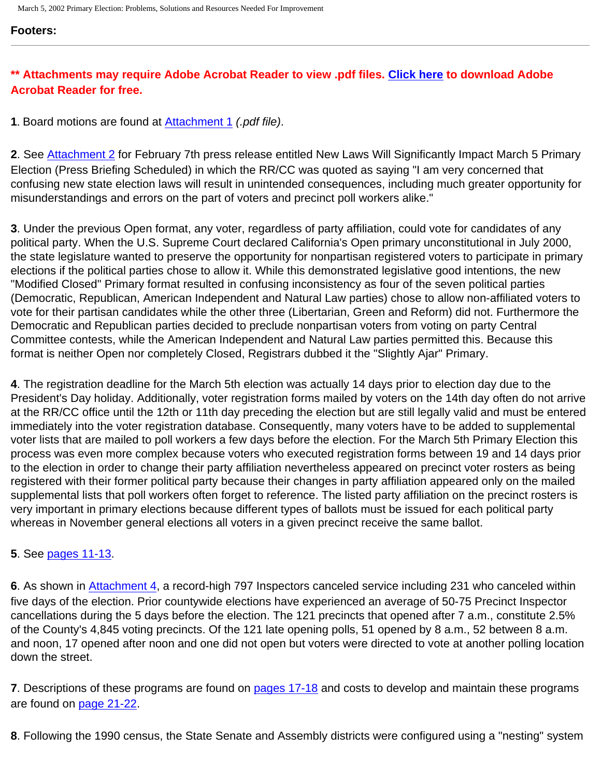#### **Footers:**

# **\*\* Attachments may require Adobe Acrobat Reader to view .pdf files. [Click here](http://www.adobe.com/products/acrobat/readstep2.html) to download Adobe Acrobat Reader for free.**

<span id="page-20-0"></span>**1**. Board motions are found at [Attachment 1](http://www.lavote.net/general/3-5-02PSR/attach1.pdf) *(.pdf file)*.

<span id="page-20-1"></span>**2**. See [Attachment 2](http://www.lavote.net/general/press/feb7-02.htm) for February 7th press release entitled New Laws Will Significantly Impact March 5 Primary Election (Press Briefing Scheduled) in which the RR/CC was quoted as saying "I am very concerned that confusing new state election laws will result in unintended consequences, including much greater opportunity for misunderstandings and errors on the part of voters and precinct poll workers alike."

<span id="page-20-2"></span>**3**. Under the previous Open format, any voter, regardless of party affiliation, could vote for candidates of any political party. When the U.S. Supreme Court declared California's Open primary unconstitutional in July 2000, the state legislature wanted to preserve the opportunity for nonpartisan registered voters to participate in primary elections if the political parties chose to allow it. While this demonstrated legislative good intentions, the new "Modified Closed" Primary format resulted in confusing inconsistency as four of the seven political parties (Democratic, Republican, American Independent and Natural Law parties) chose to allow non-affiliated voters to vote for their partisan candidates while the other three (Libertarian, Green and Reform) did not. Furthermore the Democratic and Republican parties decided to preclude nonpartisan voters from voting on party Central Committee contests, while the American Independent and Natural Law parties permitted this. Because this format is neither Open nor completely Closed, Registrars dubbed it the "Slightly Ajar" Primary.

<span id="page-20-3"></span>**4**. The registration deadline for the March 5th election was actually 14 days prior to election day due to the President's Day holiday. Additionally, voter registration forms mailed by voters on the 14th day often do not arrive at the RR/CC office until the 12th or 11th day preceding the election but are still legally valid and must be entered immediately into the voter registration database. Consequently, many voters have to be added to supplemental voter lists that are mailed to poll workers a few days before the election. For the March 5th Primary Election this process was even more complex because voters who executed registration forms between 19 and 14 days prior to the election in order to change their party affiliation nevertheless appeared on precinct voter rosters as being registered with their former political party because their changes in party affiliation appeared only on the mailed supplemental lists that poll workers often forget to reference. The listed party affiliation on the precinct rosters is very important in primary elections because different types of ballots must be issued for each political party whereas in November general elections all voters in a given precinct receive the same ballot.

## <span id="page-20-4"></span>**5**. See [pages 11-13](#page-8-0).

<span id="page-20-5"></span>**6**. As shown in [Attachment 4,](http://www.lavote.net/general/3-5-02PSR/attach4.htm) a record-high 797 Inspectors canceled service including 231 who canceled within five days of the election. Prior countywide elections have experienced an average of 50-75 Precinct Inspector cancellations during the 5 days before the election. The 121 precincts that opened after 7 a.m., constitute 2.5% of the County's 4,845 voting precincts. Of the 121 late opening polls, 51 opened by 8 a.m., 52 between 8 a.m. and noon, 17 opened after noon and one did not open but voters were directed to vote at another polling location down the street.

<span id="page-20-6"></span>**7**. Descriptions of these programs are found on [pages 17-18](#page-13-0) and costs to develop and maintain these programs are found on [page 21-22](#page-16-0).

<span id="page-20-7"></span>**8**. Following the 1990 census, the State Senate and Assembly districts were configured using a "nesting" system